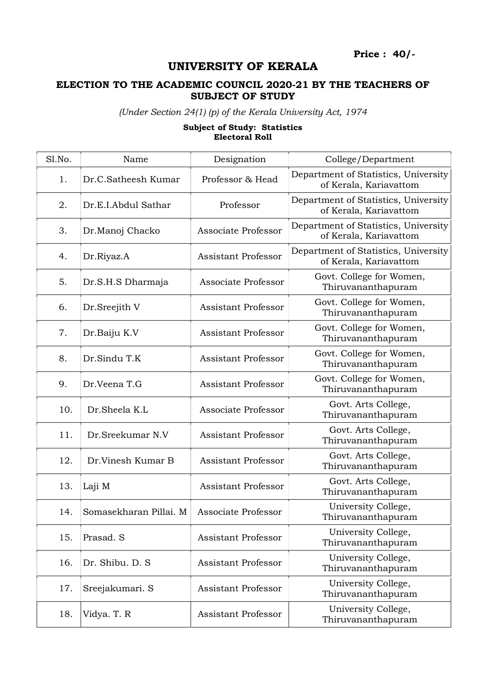Price : 40/-

## UNIVERSITY OF KERALA

## ELECTION TO THE ACADEMIC COUNCIL 2020-21 BY THE TEACHERS OF SUBJECT OF STUDY

(Under Section 24(1) (p) of the Kerala University Act, 1974

## Subject of Study: Statistics Electoral Roll

| Sl.No. | Name                   | Designation                | College/Department                                             |
|--------|------------------------|----------------------------|----------------------------------------------------------------|
| 1.     | Dr.C.Satheesh Kumar    | Professor & Head           | Department of Statistics, University<br>of Kerala, Kariavattom |
| 2.     | Dr.E.I.Abdul Sathar    | Professor                  | Department of Statistics, University<br>of Kerala, Kariavattom |
| 3.     | Dr.Manoj Chacko        | Associate Professor        | Department of Statistics, University<br>of Kerala, Kariavattom |
| 4.     | Dr.Riyaz.A             | <b>Assistant Professor</b> | Department of Statistics, University<br>of Kerala, Kariavattom |
| 5.     | Dr.S.H.S Dharmaja      | Associate Professor        | Govt. College for Women,<br>Thiruvananthapuram                 |
| 6.     | Dr.Sreejith V          | <b>Assistant Professor</b> | Govt. College for Women,<br>Thiruvananthapuram                 |
| 7.     | Dr.Baiju K.V           | <b>Assistant Professor</b> | Govt. College for Women,<br>Thiruvananthapuram                 |
| 8.     | Dr.Sindu T.K           | <b>Assistant Professor</b> | Govt. College for Women,<br>Thiruvananthapuram                 |
| 9.     | Dr.Veena T.G           | <b>Assistant Professor</b> | Govt. College for Women,<br>Thiruvananthapuram                 |
| 10.    | Dr.Sheela K.L          | Associate Professor        | Govt. Arts College,<br>Thiruvananthapuram                      |
| 11.    | Dr.Sreekumar N.V       | <b>Assistant Professor</b> | Govt. Arts College,<br>Thiruvananthapuram                      |
| 12.    | Dr.Vinesh Kumar B      | <b>Assistant Professor</b> | Govt. Arts College,<br>Thiruvananthapuram                      |
| 13.    | Laji M                 | <b>Assistant Professor</b> | Govt. Arts College,<br>Thiruvananthapuram                      |
| 14.    | Somasekharan Pillai. M | Associate Professor        | University College,<br>Thiruvananthapuram                      |
| 15.    | Prasad. S              | Assistant Professor        | University College,<br>Thiruvananthapuram                      |
| 16.    | Dr. Shibu. D. S.       | <b>Assistant Professor</b> | University College,<br>Thiruvananthapuram                      |
| 17.    | Sreejakumari. S        | <b>Assistant Professor</b> | University College,<br>Thiruvananthapuram                      |
| 18.    | Vidya. T. R            | <b>Assistant Professor</b> | University College,<br>Thiruvananthapuram                      |